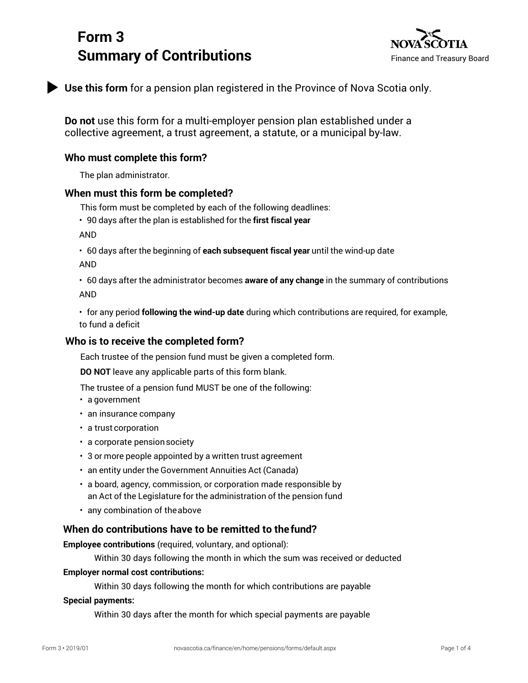# **Form 3 Summary of Contributions** Finance and Treasury Board



**Use this form** for a pension plan registered in the Province of Nova Scotia only.

**Do not** use this form for a multi-employer pension plan established under a collective agreement, a trust agreement, a statute, or a municipal by-law.

## **Who must complete this form?**

The plan administrator.

## **When must this form be completed?**

This form must be completed by each of the following deadlines:

• 90 days after the plan is established for the **first fiscal year**

AND

• 60 days after the beginning of **each subsequent fiscal year** until the wind-up date

AND

• 60 days after the administrator becomes **aware of any change** in the summary of contributions AND

• for any period **following the wind-up date** during which contributions are required, for example, to fund a deficit

## **Who is to receive the completed form?**

Each trustee of the pension fund must be given a completed form.

**DO NOT** leave any applicable parts of this form blank.

The trustee of a pension fund MUST be one of the following:

- a government
- an insurance company
- a trust corporation
- a corporate pensionsociety
- 3 or more people appointed by a written trust agreement
- an entity under the Government Annuities Act (Canada)
- a board, agency, commission, or corporation made responsible by an Act of the Legislature for the administration of the pension fund
- any combination of theabove

## **When do contributions have to be remitted to thefund?**

**Employee contributions** (required, voluntary, and optional):

Within 30 days following the month in which the sum was received or deducted

#### **Employer normal cost contributions:**

Within 30 days following the month for which contributions are payable

#### **Special payments:**

Within 30 days after the month for which special payments are payable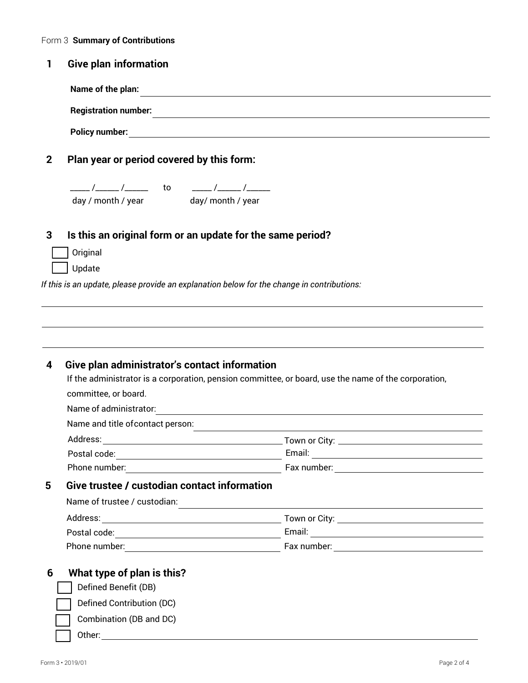| <b>Give plan information</b><br>Name of the plan:<br><b>Registration number:</b><br>and the control of the control of the control of the control of the control of the control of the control of the<br>Plan year or period covered by this form:<br>___ /_____ /_______ to   _____ /_____ /______<br>day / month / year day/ month / year<br>Is this an original form or an update for the same period?<br>Original<br>Update<br>,我们也不能在这里的时候,我们也不能在这里的时候,我们也不能会在这里的时候,我们也不能会在这里的时候,我们也不能会在这里的时候,我们也不能会在这里的时候,我们也不<br>If the administrator is a corporation, pension committee, or board, use the name of the corporation,<br>committee, or board. |                                                                                                     |                                                                   |  |  |
|-----------------------------------------------------------------------------------------------------------------------------------------------------------------------------------------------------------------------------------------------------------------------------------------------------------------------------------------------------------------------------------------------------------------------------------------------------------------------------------------------------------------------------------------------------------------------------------------------------------------------------------------------------|-----------------------------------------------------------------------------------------------------|-------------------------------------------------------------------|--|--|
| Give plan administrator's contact information                                                                                                                                                                                                                                                                                                                                                                                                                                                                                                                                                                                                       |                                                                                                     |                                                                   |  |  |
|                                                                                                                                                                                                                                                                                                                                                                                                                                                                                                                                                                                                                                                     |                                                                                                     |                                                                   |  |  |
|                                                                                                                                                                                                                                                                                                                                                                                                                                                                                                                                                                                                                                                     |                                                                                                     |                                                                   |  |  |
| If this is an update, please provide an explanation below for the change in contributions:                                                                                                                                                                                                                                                                                                                                                                                                                                                                                                                                                          |                                                                                                     |                                                                   |  |  |
|                                                                                                                                                                                                                                                                                                                                                                                                                                                                                                                                                                                                                                                     |                                                                                                     |                                                                   |  |  |
|                                                                                                                                                                                                                                                                                                                                                                                                                                                                                                                                                                                                                                                     |                                                                                                     |                                                                   |  |  |
|                                                                                                                                                                                                                                                                                                                                                                                                                                                                                                                                                                                                                                                     |                                                                                                     |                                                                   |  |  |
|                                                                                                                                                                                                                                                                                                                                                                                                                                                                                                                                                                                                                                                     |                                                                                                     |                                                                   |  |  |
|                                                                                                                                                                                                                                                                                                                                                                                                                                                                                                                                                                                                                                                     |                                                                                                     |                                                                   |  |  |
|                                                                                                                                                                                                                                                                                                                                                                                                                                                                                                                                                                                                                                                     |                                                                                                     |                                                                   |  |  |
|                                                                                                                                                                                                                                                                                                                                                                                                                                                                                                                                                                                                                                                     |                                                                                                     |                                                                   |  |  |
|                                                                                                                                                                                                                                                                                                                                                                                                                                                                                                                                                                                                                                                     |                                                                                                     |                                                                   |  |  |
|                                                                                                                                                                                                                                                                                                                                                                                                                                                                                                                                                                                                                                                     |                                                                                                     |                                                                   |  |  |
|                                                                                                                                                                                                                                                                                                                                                                                                                                                                                                                                                                                                                                                     | Name of administrator:                                                                              | <u> 1989 - Johann Stein, mars and de British Boston (b. 1989)</u> |  |  |
|                                                                                                                                                                                                                                                                                                                                                                                                                                                                                                                                                                                                                                                     | Name and title of contact person:                                                                   |                                                                   |  |  |
|                                                                                                                                                                                                                                                                                                                                                                                                                                                                                                                                                                                                                                                     | Address:                                                                                            |                                                                   |  |  |
|                                                                                                                                                                                                                                                                                                                                                                                                                                                                                                                                                                                                                                                     | Postal code: Note: Note: Note: Note: Note: Note: Note: Note: Note: Note: Note: Note: Note: Note: No |                                                                   |  |  |
| Phone number: <u>New York: New York: New York: New York: New York: New York: New York: New York: New York: New York: New York: New York: New York: New York: New York: New York: New York: New York: New York: New York: New Yor</u>                                                                                                                                                                                                                                                                                                                                                                                                                |                                                                                                     |                                                                   |  |  |
| Give trustee / custodian contact information                                                                                                                                                                                                                                                                                                                                                                                                                                                                                                                                                                                                        |                                                                                                     |                                                                   |  |  |
| Name of trustee / custodian:                                                                                                                                                                                                                                                                                                                                                                                                                                                                                                                                                                                                                        |                                                                                                     |                                                                   |  |  |
|                                                                                                                                                                                                                                                                                                                                                                                                                                                                                                                                                                                                                                                     |                                                                                                     |                                                                   |  |  |
|                                                                                                                                                                                                                                                                                                                                                                                                                                                                                                                                                                                                                                                     |                                                                                                     |                                                                   |  |  |
|                                                                                                                                                                                                                                                                                                                                                                                                                                                                                                                                                                                                                                                     |                                                                                                     |                                                                   |  |  |
|                                                                                                                                                                                                                                                                                                                                                                                                                                                                                                                                                                                                                                                     |                                                                                                     |                                                                   |  |  |
| Phone number: <u>New York: New York: New York: New York: New York: New York: New York: New York: New York: New York: New York: New York: New York: New York: New York: New York: New York: New York: New York: New York: New Yor</u>                                                                                                                                                                                                                                                                                                                                                                                                                |                                                                                                     |                                                                   |  |  |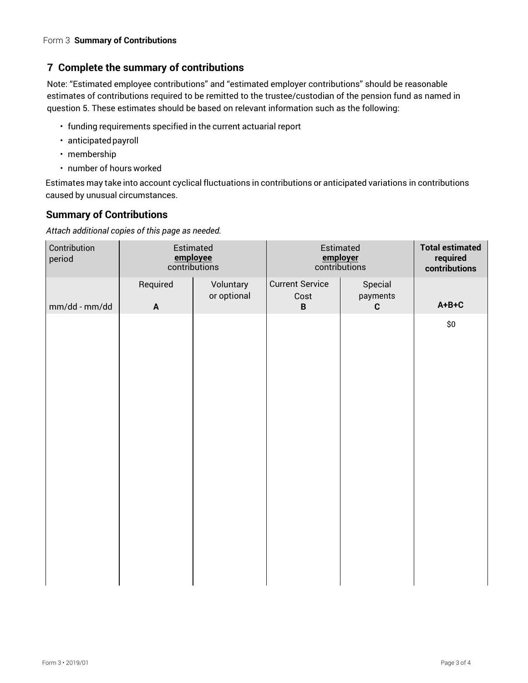# **7 Complete the summary of contributions**

Note: "Estimated employee contributions" and "estimated employer contributions" should be reasonable estimates of contributions required to be remitted to the trustee/custodian of the pension fund as named in question 5. These estimates should be based on relevant information such as the following:

- funding requirements specified in the current actuarial report
- anticipatedpayroll
- membership
- number of hours worked

Estimates may take into account cyclical fluctuations in contributions or anticipated variations in contributions caused by unusual circumstances.

## **Summary of Contributions**

*Attach additional copies of this page as needed.* 

| Contribution<br>period | Estimated<br>employee<br>contributions |                          | Estimated<br>employer<br>contributions |                                    | <b>Total estimated</b><br>required<br>contributions |
|------------------------|----------------------------------------|--------------------------|----------------------------------------|------------------------------------|-----------------------------------------------------|
| mm/dd - mm/dd          | Required<br>$\mathbf{A}$               | Voluntary<br>or optional | <b>Current Service</b><br>Cost<br>B    | Special<br>payments<br>$\mathbf c$ | $A + B + C$                                         |
|                        |                                        |                          |                                        |                                    | \$0                                                 |
|                        |                                        |                          |                                        |                                    |                                                     |
|                        |                                        |                          |                                        |                                    |                                                     |
|                        |                                        |                          |                                        |                                    |                                                     |
|                        |                                        |                          |                                        |                                    |                                                     |
|                        |                                        |                          |                                        |                                    |                                                     |
|                        |                                        |                          |                                        |                                    |                                                     |
|                        |                                        |                          |                                        |                                    |                                                     |
|                        |                                        |                          |                                        |                                    |                                                     |
|                        |                                        |                          |                                        |                                    |                                                     |
|                        |                                        |                          |                                        |                                    |                                                     |
|                        |                                        |                          |                                        |                                    |                                                     |
|                        |                                        |                          |                                        |                                    |                                                     |
|                        |                                        |                          |                                        |                                    |                                                     |